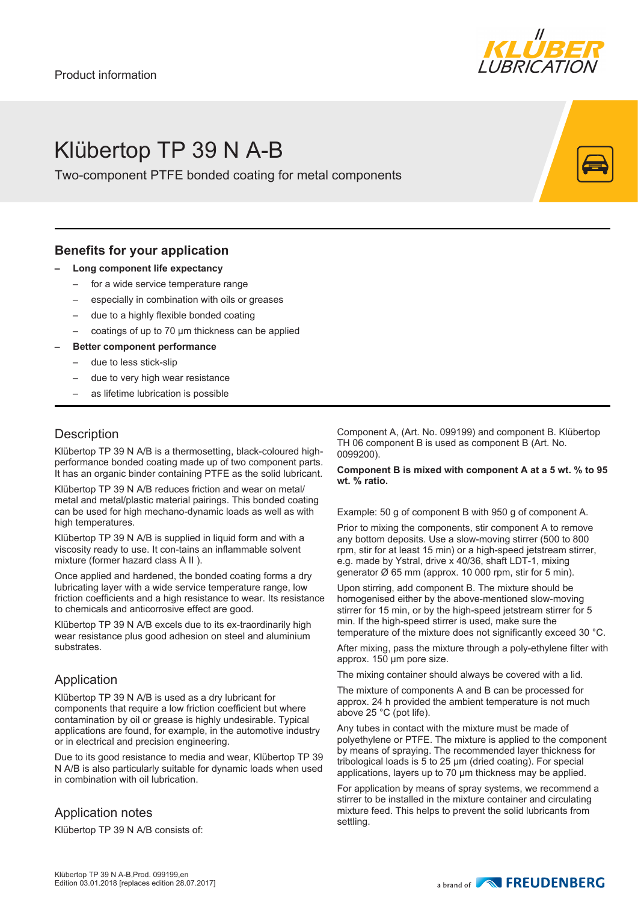

## Klübertop TP 39 N A-B

Two-component PTFE bonded coating for metal components

## **Benefits for your application**

- **– Long component life expectancy**
	- for a wide service temperature range
	- especially in combination with oils or greases
	- due to a highly flexible bonded coating
	- coatings of up to 70 µm thickness can be applied
- **– Better component performance**
	- due to less stick-slip
	- due to very high wear resistance
	- as lifetime lubrication is possible

## **Description**

Klübertop TP 39 N A/B is a thermosetting, black-coloured highperformance bonded coating made up of two component parts. It has an organic binder containing PTFE as the solid lubricant.

Klübertop TP 39 N A/B reduces friction and wear on metal/ metal and metal/plastic material pairings. This bonded coating can be used for high mechano-dynamic loads as well as with high temperatures.

Klübertop TP 39 N A/B is supplied in liquid form and with a viscosity ready to use. It con-tains an inflammable solvent mixture (former hazard class A II ).

Once applied and hardened, the bonded coating forms a dry lubricating layer with a wide service temperature range, low friction coefficients and a high resistance to wear. Its resistance to chemicals and anticorrosive effect are good.

Klübertop TP 39 N A/B excels due to its ex-traordinarily high wear resistance plus good adhesion on steel and aluminium substrates.

## Application

Klübertop TP 39 N A/B is used as a dry lubricant for components that require a low friction coefficient but where contamination by oil or grease is highly undesirable. Typical applications are found, for example, in the automotive industry or in electrical and precision engineering.

Due to its good resistance to media and wear, Klübertop TP 39 N A/B is also particularly suitable for dynamic loads when used in combination with oil lubrication.

## Application notes

Klübertop TP 39 N A/B consists of:

Component A, (Art. No. 099199) and component B. Klübertop TH 06 component B is used as component B (Art. No. 0099200).

#### **Component B is mixed with component A at a 5 wt. % to 95 wt. % ratio.**

Example: 50 g of component B with 950 g of component A.

Prior to mixing the components, stir component A to remove any bottom deposits. Use a slow-moving stirrer (500 to 800 rpm, stir for at least 15 min) or a high-speed jetstream stirrer, e.g. made by Ystral, drive x 40/36, shaft LDT-1, mixing generator Ø 65 mm (approx. 10 000 rpm, stir for 5 min).

Upon stirring, add component B. The mixture should be homogenised either by the above-mentioned slow-moving stirrer for 15 min, or by the high-speed jetstream stirrer for 5 min. If the high-speed stirrer is used, make sure the temperature of the mixture does not significantly exceed 30 °C.

After mixing, pass the mixture through a poly-ethylene filter with approx. 150 µm pore size.

The mixing container should always be covered with a lid.

The mixture of components A and B can be processed for approx. 24 h provided the ambient temperature is not much above 25 °C (pot life).

Any tubes in contact with the mixture must be made of polyethylene or PTFE. The mixture is applied to the component by means of spraying. The recommended layer thickness for tribological loads is 5 to 25 µm (dried coating). For special applications, layers up to 70 um thickness may be applied.

For application by means of spray systems, we recommend a stirrer to be installed in the mixture container and circulating mixture feed. This helps to prevent the solid lubricants from settling.

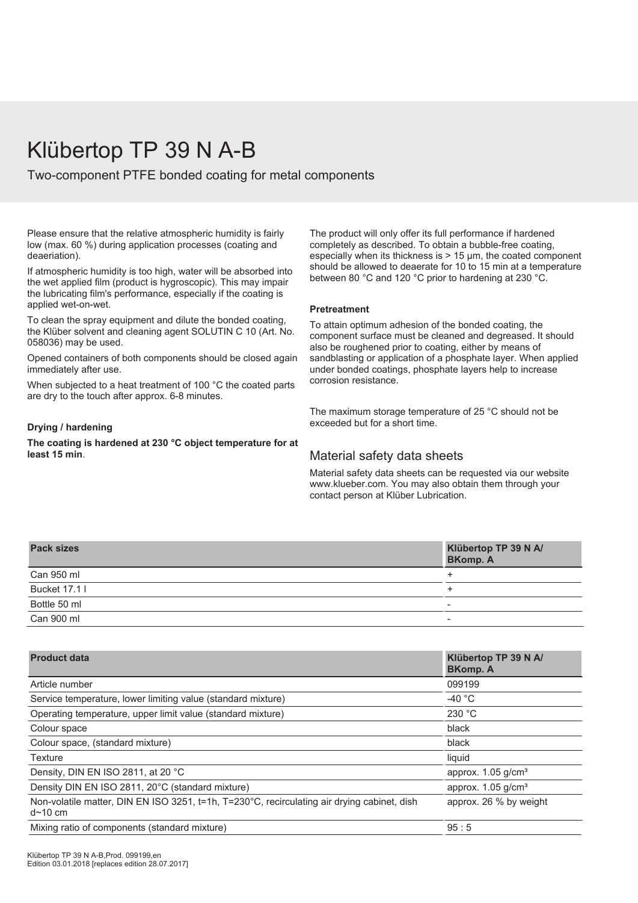## Klübertop TP 39 N A-B

Two-component PTFE bonded coating for metal components

Please ensure that the relative atmospheric humidity is fairly low (max. 60 %) during application processes (coating and deaeriation).

If atmospheric humidity is too high, water will be absorbed into the wet applied film (product is hygroscopic). This may impair the lubricating film's performance, especially if the coating is applied wet-on-wet.

To clean the spray equipment and dilute the bonded coating, the Klüber solvent and cleaning agent SOLUTIN C 10 (Art. No. 058036) may be used.

Opened containers of both components should be closed again immediately after use.

When subjected to a heat treatment of 100 °C the coated parts are dry to the touch after approx. 6-8 minutes.

### **Drying / hardening**

**The coating is hardened at 230 °C object temperature for at least 15 min**.

The product will only offer its full performance if hardened completely as described. To obtain a bubble-free coating, especially when its thickness is > 15 µm, the coated component should be allowed to deaerate for 10 to 15 min at a temperature between 80 °C and 120 °C prior to hardening at 230 °C.

#### **Pretreatment**

To attain optimum adhesion of the bonded coating, the component surface must be cleaned and degreased. It should also be roughened prior to coating, either by means of sandblasting or application of a phosphate layer. When applied under bonded coatings, phosphate layers help to increase corrosion resistance.

The maximum storage temperature of 25 °C should not be exceeded but for a short time.

### Material safety data sheets

Material safety data sheets can be requested via our website www.klueber.com. You may also obtain them through your contact person at Klüber Lubrication.

| <b>Pack sizes</b> | Klübertop TP 39 N A/<br><b>BKomp. A</b> |
|-------------------|-----------------------------------------|
| Can 950 ml        |                                         |
| Bucket 17.1 I     |                                         |
| Bottle 50 ml      | $\overline{\phantom{a}}$                |
| Can 900 ml        | $\overline{\phantom{a}}$                |

| <b>Product data</b>                                                                                               | Klübertop TP 39 N A/<br><b>BKomp. A</b> |  |  |  |  |  |  |  |  |
|-------------------------------------------------------------------------------------------------------------------|-----------------------------------------|--|--|--|--|--|--|--|--|
| Article number                                                                                                    | 099199                                  |  |  |  |  |  |  |  |  |
| Service temperature, lower limiting value (standard mixture)                                                      | -40 $^{\circ}$ C                        |  |  |  |  |  |  |  |  |
| Operating temperature, upper limit value (standard mixture)                                                       | 230 °C                                  |  |  |  |  |  |  |  |  |
| Colour space                                                                                                      | black                                   |  |  |  |  |  |  |  |  |
| Colour space, (standard mixture)                                                                                  | black                                   |  |  |  |  |  |  |  |  |
| Texture                                                                                                           | liquid                                  |  |  |  |  |  |  |  |  |
| Density, DIN EN ISO 2811, at 20 °C                                                                                | approx. $1.05$ g/cm <sup>3</sup>        |  |  |  |  |  |  |  |  |
| Density DIN EN ISO 2811, 20°C (standard mixture)                                                                  | approx. $1.05$ g/cm <sup>3</sup>        |  |  |  |  |  |  |  |  |
| Non-volatile matter, DIN EN ISO 3251, t=1h, T=230°C, recirculating air drying cabinet, dish<br>d <sub>10 cm</sub> | approx. 26 % by weight                  |  |  |  |  |  |  |  |  |
| Mixing ratio of components (standard mixture)                                                                     | 95:5                                    |  |  |  |  |  |  |  |  |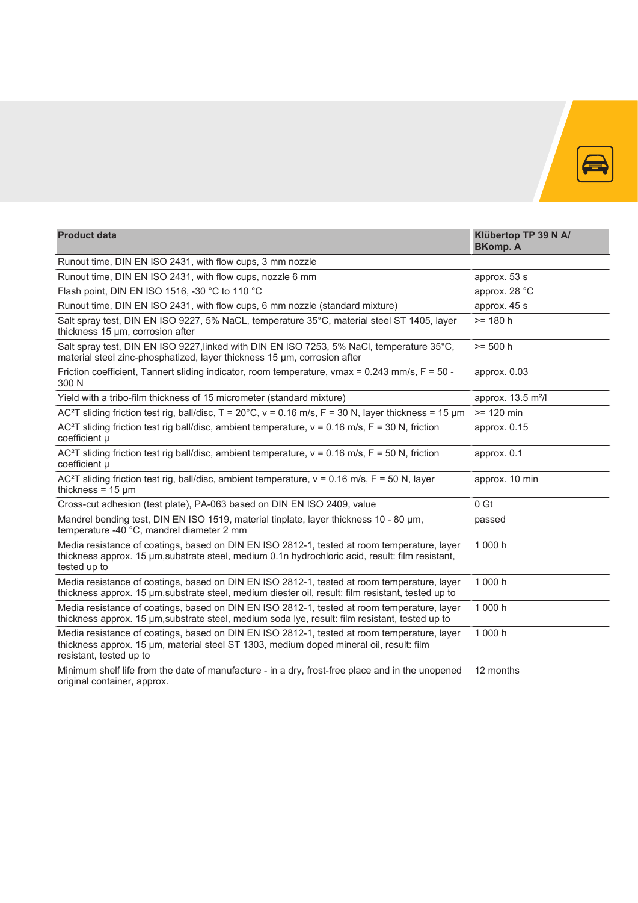

| <b>Product data</b>                                                                                                                                                                                               | Klübertop TP 39 N A/<br><b>BKomp. A</b> |  |  |  |  |  |  |  |
|-------------------------------------------------------------------------------------------------------------------------------------------------------------------------------------------------------------------|-----------------------------------------|--|--|--|--|--|--|--|
| Runout time, DIN EN ISO 2431, with flow cups, 3 mm nozzle                                                                                                                                                         |                                         |  |  |  |  |  |  |  |
| Runout time, DIN EN ISO 2431, with flow cups, nozzle 6 mm                                                                                                                                                         | approx. 53 s                            |  |  |  |  |  |  |  |
| Flash point, DIN EN ISO 1516, -30 °C to 110 °C                                                                                                                                                                    | approx. 28 °C                           |  |  |  |  |  |  |  |
| Runout time, DIN EN ISO 2431, with flow cups, 6 mm nozzle (standard mixture)                                                                                                                                      | approx. 45 s                            |  |  |  |  |  |  |  |
| Salt spray test, DIN EN ISO 9227, 5% NaCL, temperature 35°C, material steel ST 1405, layer<br>thickness 15 µm, corrosion after                                                                                    | $= 180 h$                               |  |  |  |  |  |  |  |
| Salt spray test, DIN EN ISO 9227, linked with DIN EN ISO 7253, 5% NaCl, temperature 35°C,<br>material steel zinc-phosphatized, layer thickness 15 µm, corrosion after                                             | $>= 500 h$                              |  |  |  |  |  |  |  |
| Friction coefficient, Tannert sliding indicator, room temperature, vmax = $0.243$ mm/s, F = $50$ -<br>300 N                                                                                                       | approx. 0.03                            |  |  |  |  |  |  |  |
| Yield with a tribo-film thickness of 15 micrometer (standard mixture)                                                                                                                                             | approx. 13.5 m <sup>2</sup> /l          |  |  |  |  |  |  |  |
| AC <sup>2</sup> T sliding friction test rig, ball/disc, $T = 20^{\circ}$ C, $v = 0.16$ m/s, $F = 30$ N, layer thickness = 15 µm                                                                                   | $>= 120$ min                            |  |  |  |  |  |  |  |
| AC <sup>2</sup> T sliding friction test rig ball/disc, ambient temperature, $v = 0.16$ m/s, $F = 30$ N, friction<br>coefficient µ                                                                                 | approx. 0.15                            |  |  |  |  |  |  |  |
| AC <sup>2</sup> T sliding friction test rig ball/disc, ambient temperature, $v = 0.16$ m/s, $F = 50$ N, friction<br>coefficient µ                                                                                 | approx. 0.1                             |  |  |  |  |  |  |  |
| AC <sup>2</sup> T sliding friction test rig, ball/disc, ambient temperature, $v = 0.16$ m/s, F = 50 N, layer<br>thickness = $15 \mu m$                                                                            | approx. 10 min                          |  |  |  |  |  |  |  |
| Cross-cut adhesion (test plate), PA-063 based on DIN EN ISO 2409, value                                                                                                                                           | 0 Gt                                    |  |  |  |  |  |  |  |
| Mandrel bending test, DIN EN ISO 1519, material tinplate, layer thickness 10 - 80 µm,<br>temperature -40 °C, mandrel diameter 2 mm                                                                                | passed                                  |  |  |  |  |  |  |  |
| Media resistance of coatings, based on DIN EN ISO 2812-1, tested at room temperature, layer<br>thickness approx. 15 µm, substrate steel, medium 0.1n hydrochloric acid, result: film resistant,<br>tested up to   | 1 000 h                                 |  |  |  |  |  |  |  |
| Media resistance of coatings, based on DIN EN ISO 2812-1, tested at room temperature, layer<br>thickness approx. 15 µm, substrate steel, medium diester oil, result: film resistant, tested up to                 | 1 000 h                                 |  |  |  |  |  |  |  |
| Media resistance of coatings, based on DIN EN ISO 2812-1, tested at room temperature, layer<br>thickness approx. 15 µm, substrate steel, medium soda lye, result: film resistant, tested up to                    | 1 000 h                                 |  |  |  |  |  |  |  |
| Media resistance of coatings, based on DIN EN ISO 2812-1, tested at room temperature, layer<br>thickness approx. 15 um, material steel ST 1303, medium doped mineral oil, result: film<br>resistant, tested up to | 1 000 h                                 |  |  |  |  |  |  |  |
| Minimum shelf life from the date of manufacture - in a dry, frost-free place and in the unopened<br>original container, approx.                                                                                   | 12 months                               |  |  |  |  |  |  |  |